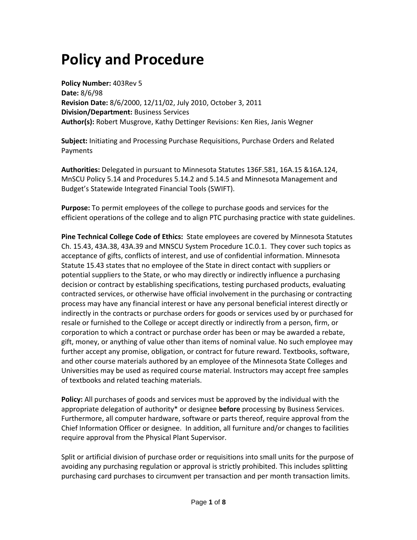# **Policy and Procedure**

**Policy Number:** 403Rev 5 **Date:** 8/6/98 **Revision Date:** 8/6/2000, 12/11/02, July 2010, October 3, 2011 **Division/Department:** Business Services **Author(s):** Robert Musgrove, Kathy Dettinger Revisions: Ken Ries, Janis Wegner

**Subject:** Initiating and Processing Purchase Requisitions, Purchase Orders and Related Payments

**Authorities:** Delegated in pursuant to Minnesota Statutes 136F.581, 16A.15 &16A.124, MnSCU Policy 5.14 and Procedures 5.14.2 and 5.14.5 and Minnesota Management and Budget's Statewide Integrated Financial Tools (SWIFT).

**Purpose:** To permit employees of the college to purchase goods and services for the efficient operations of the college and to align PTC purchasing practice with state guidelines.

**Pine Technical College Code of Ethics:** State employees are covered by Minnesota Statutes Ch. 15.43, 43A.38, 43A.39 and MNSCU System Procedure 1C.0.1. They cover such topics as acceptance of gifts, conflicts of interest, and use of confidential information. Minnesota Statute 15.43 states that no employee of the State in direct contact with suppliers or potential suppliers to the State, or who may directly or indirectly influence a purchasing decision or contract by establishing specifications, testing purchased products, evaluating contracted services, or otherwise have official involvement in the purchasing or contracting process may have any financial interest or have any personal beneficial interest directly or indirectly in the contracts or purchase orders for goods or services used by or purchased for resale or furnished to the College or accept directly or indirectly from a person, firm, or corporation to which a contract or purchase order has been or may be awarded a rebate, gift, money, or anything of value other than items of nominal value. No such employee may further accept any promise, obligation, or contract for future reward. Textbooks, software, and other course materials authored by an employee of the Minnesota State Colleges and Universities may be used as required course material. Instructors may accept free samples of textbooks and related teaching materials.

**Policy:** All purchases of goods and services must be approved by the individual with the appropriate delegation of authority\* or designee **before** processing by Business Services. Furthermore, all computer hardware, software or parts thereof, require approval from the Chief Information Officer or designee. In addition, all furniture and/or changes to facilities require approval from the Physical Plant Supervisor.

Split or artificial division of purchase order or requisitions into small units for the purpose of avoiding any purchasing regulation or approval is strictly prohibited. This includes splitting purchasing card purchases to circumvent per transaction and per month transaction limits.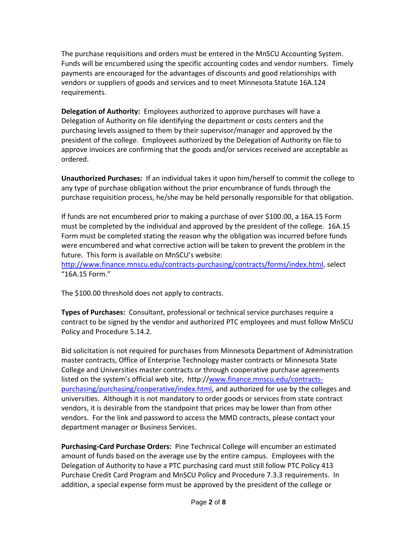The purchase requisitions and orders must be entered in the MnSCU Accounting System. Funds will be encumbered using the specific accounting codes and vendor numbers. Timely payments are encouraged for the advantages of discounts and good relationships with vendors or suppliers of goods and services and to meet Minnesota Statute 16A.124 requirements.

**Delegation of Authority:** Employees authorized to approve purchases will have a Delegation of Authority on file identifying the department or costs centers and the purchasing levels assigned to them by their supervisor/manager and approved by the president of the college. Employees authorized by the Delegation of Authority on file to approve invoices are confirming that the goods and/or services received are acceptable as ordered.

**Unauthorized Purchases:** If an individual takes it upon him/herself to commit the college to any type of purchase obligation without the prior encumbrance of funds through the purchase requisition process, he/she may be held personally responsible for that obligation.

If funds are not encumbered prior to making a purchase of over \$100.00, a 16A.15 Form must be completed by the individual and approved by the president of the college. 16A.15 Form must be completed stating the reason why the obligation was incurred before funds were encumbered and what corrective action will be taken to prevent the problem in the future. This form is available on MnSCU's website:

[http://www.finance.mnscu.edu/contracts-purchasing/contracts/forms/index.html,](http://www.finance.mnscu.edu/contracts-purchasing/contracts/forms/index.html) select "16A.15 Form."

The \$100.00 threshold does not apply to contracts.

**Types of Purchases:** Consultant, professional or technical service purchases require a contract to be signed by the vendor and authorized PTC employees and must follow MnSCU Policy and Procedure 5.14.2.

Bid solicitation is not required for purchases from Minnesota Department of Administration master contracts, Office of Enterprise Technology master contracts or Minnesota State College and Universities master contracts or through cooperative purchase agreements listed on the system's official web site, http:/[/www.finance.mnscu.edu/contracts](http://www.finance.mnscu.edu/contracts-purchasing/purchasing/cooperative/index.html)[purchasing/purchasing/cooperative/index.html,](http://www.finance.mnscu.edu/contracts-purchasing/purchasing/cooperative/index.html) and authorized for use by the colleges and universities. Although it is not mandatory to order goods or services from state contract vendors, it is desirable from the standpoint that prices may be lower than from other vendors. For the link and password to access the MMD contracts, please contact your department manager or Business Services.

**Purchasing-Card Purchase Orders:** Pine Technical College will encumber an estimated amount of funds based on the average use by the entire campus. Employees with the Delegation of Authority to have a PTC purchasing card must still follow PTC Policy 413 Purchase Credit Card Program and MnSCU Policy and Procedure 7.3.3 requirements. In addition, a special expense form must be approved by the president of the college or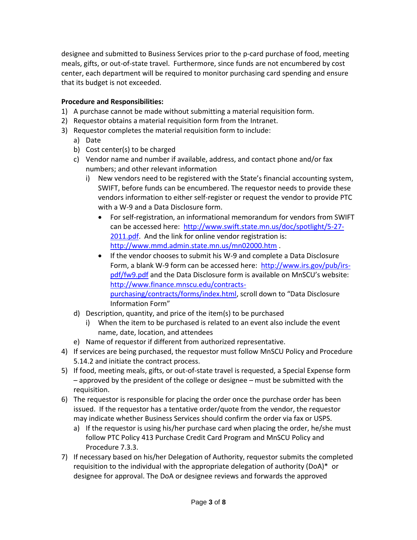designee and submitted to Business Services prior to the p-card purchase of food, meeting meals, gifts, or out-of-state travel. Furthermore, since funds are not encumbered by cost center, each department will be required to monitor purchasing card spending and ensure that its budget is not exceeded.

## **Procedure and Responsibilities:**

- 1) A purchase cannot be made without submitting a material requisition form.
- 2) Requestor obtains a material requisition form from the Intranet.
- 3) Requestor completes the material requisition form to include:
	- a) Date
	- b) Cost center(s) to be charged
	- c) Vendor name and number if available, address, and contact phone and/or fax numbers; and other relevant information
		- i) New vendors need to be registered with the State's financial accounting system, SWIFT, before funds can be encumbered. The requestor needs to provide these vendors information to either self-register or request the vendor to provide PTC with a W-9 and a Data Disclosure form.
			- For self-registration, an informational memorandum for vendors from SWIFT can be accessed here: [http://www.swift.state.mn.us/doc/spotlight/5-27-](http://www.swift.state.mn.us/doc/spotlight/5-27-2011.pdf) [2011.pdf.](http://www.swift.state.mn.us/doc/spotlight/5-27-2011.pdf) And the link for online vendor registration is: <http://www.mmd.admin.state.mn.us/mn02000.htm> .
			- If the vendor chooses to submit his W-9 and complete a Data Disclosure Form, a blank W-9 form can be accessed here: [http://www.irs.gov/pub/irs](http://www.irs.gov/pub/irs-pdf/fw9.pdf)[pdf/fw9.pdf](http://www.irs.gov/pub/irs-pdf/fw9.pdf) and the Data Disclosure form is available on MnSCU's website: [http://www.finance.mnscu.edu/contracts](http://www.finance.mnscu.edu/contracts-purchasing/contracts/forms/index.html)[purchasing/contracts/forms/index.html](http://www.finance.mnscu.edu/contracts-purchasing/contracts/forms/index.html), scroll down to "Data Disclosure Information Form"
	- d) Description, quantity, and price of the item(s) to be purchased
		- i) When the item to be purchased is related to an event also include the event name, date, location, and attendees
	- e) Name of requestor if different from authorized representative.
- 4) If services are being purchased, the requestor must follow MnSCU Policy and Procedure 5.14.2 and initiate the contract process.
- 5) If food, meeting meals, gifts, or out-of-state travel is requested, a Special Expense form – approved by the president of the college or designee – must be submitted with the requisition.
- 6) The requestor is responsible for placing the order once the purchase order has been issued. If the requestor has a tentative order/quote from the vendor, the requestor may indicate whether Business Services should confirm the order via fax or USPS.
	- a) If the requestor is using his/her purchase card when placing the order, he/she must follow PTC Policy 413 Purchase Credit Card Program and MnSCU Policy and Procedure 7.3.3.
- 7) If necessary based on his/her Delegation of Authority, requestor submits the completed requisition to the individual with the appropriate delegation of authority (DoA)\* or designee for approval. The DoA or designee reviews and forwards the approved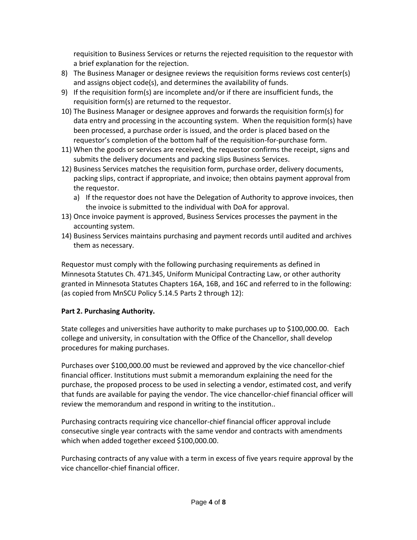requisition to Business Services or returns the rejected requisition to the requestor with a brief explanation for the rejection.

- 8) The Business Manager or designee reviews the requisition forms reviews cost center(s) and assigns object code(s), and determines the availability of funds.
- 9) If the requisition form(s) are incomplete and/or if there are insufficient funds, the requisition form(s) are returned to the requestor.
- 10) The Business Manager or designee approves and forwards the requisition form(s) for data entry and processing in the accounting system. When the requisition form(s) have been processed, a purchase order is issued, and the order is placed based on the requestor's completion of the bottom half of the requisition-for-purchase form.
- 11) When the goods or services are received, the requestor confirms the receipt, signs and submits the delivery documents and packing slips Business Services.
- 12) Business Services matches the requisition form, purchase order, delivery documents, packing slips, contract if appropriate, and invoice; then obtains payment approval from the requestor.
	- a) If the requestor does not have the Delegation of Authority to approve invoices, then the invoice is submitted to the individual with DoA for approval.
- 13) Once invoice payment is approved, Business Services processes the payment in the accounting system.
- 14) Business Services maintains purchasing and payment records until audited and archives them as necessary.

Requestor must comply with the following purchasing requirements as defined in Minnesota Statutes Ch. 471.345, Uniform Municipal Contracting Law, or other authority granted in Minnesota Statutes Chapters 16A, 16B, and 16C and referred to in the following: (as copied from MnSCU Policy 5.14.5 Parts 2 through 12):

# **Part 2. Purchasing Authority.**

State colleges and universities have authority to make purchases up to \$100,000.00. Each college and university, in consultation with the Office of the Chancellor, shall develop procedures for making purchases.

Purchases over \$100,000.00 must be reviewed and approved by the vice chancellor-chief financial officer. Institutions must submit a memorandum explaining the need for the purchase, the proposed process to be used in selecting a vendor, estimated cost, and verify that funds are available for paying the vendor. The vice chancellor-chief financial officer will review the memorandum and respond in writing to the institution..

Purchasing contracts requiring vice chancellor-chief financial officer approval include consecutive single year contracts with the same vendor and contracts with amendments which when added together exceed \$100,000.00.

Purchasing contracts of any value with a term in excess of five years require approval by the vice chancellor-chief financial officer.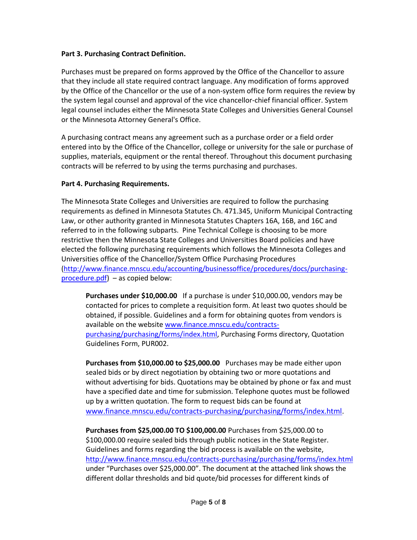#### **Part 3. Purchasing Contract Definition.**

Purchases must be prepared on forms approved by the Office of the Chancellor to assure that they include all state required contract language. Any modification of forms approved by the Office of the Chancellor or the use of a non-system office form requires the review by the system legal counsel and approval of the vice chancellor-chief financial officer. System legal counsel includes either the Minnesota State Colleges and Universities General Counsel or the Minnesota Attorney General's Office.

A purchasing contract means any agreement such as a purchase order or a field order entered into by the Office of the Chancellor, college or university for the sale or purchase of supplies, materials, equipment or the rental thereof. Throughout this document purchasing contracts will be referred to by using the terms purchasing and purchases.

#### **Part 4. Purchasing Requirements.**

The Minnesota State Colleges and Universities are required to follow the purchasing requirements as defined in Minnesota Statutes Ch. 471.345, Uniform Municipal Contracting Law, or other authority granted in Minnesota Statutes Chapters 16A, 16B, and 16C and referred to in the following subparts. Pine Technical College is choosing to be more restrictive then the Minnesota State Colleges and Universities Board policies and have elected the following purchasing requirements which follows the Minnesota Colleges and Universities office of the Chancellor/System Office Purchasing Procedures [\(http://www.finance.mnscu.edu/accounting/businessoffice/procedures/docs/purchasing](http://www.finance.mnscu.edu/accounting/businessoffice/procedures/docs/purchasing-procedure.pdf)[procedure.pdf\)](http://www.finance.mnscu.edu/accounting/businessoffice/procedures/docs/purchasing-procedure.pdf) – as copied below:

**Purchases under \$10,000.00** If a purchase is under \$10,000.00, vendors may be contacted for prices to complete a requisition form. At least two quotes should be obtained, if possible. Guidelines and a form for obtaining quotes from vendors is available on the website [www.finance.mnscu.edu/contracts](http://www.finance.mnscu.edu/contracts-purchasing/purchasing/forms/index.html)[purchasing/purchasing/forms/index.html,](http://www.finance.mnscu.edu/contracts-purchasing/purchasing/forms/index.html) Purchasing Forms directory, Quotation Guidelines Form, PUR002.

**Purchases from \$10,000.00 to \$25,000.00** Purchases may be made either upon sealed bids or by direct negotiation by obtaining two or more quotations and without advertising for bids. Quotations may be obtained by phone or fax and must have a specified date and time for submission. Telephone quotes must be followed up by a written quotation. The form to request bids can be found at [www.finance.mnscu.edu/contracts-purchasing/purchasing/forms/index.html](http://www.finance.mnscu.edu/contracts-purchasing/purchasing/forms/index.html).

**Purchases from \$25,000.00 TO \$100,000.00** Purchases from \$25,000.00 to \$100,000.00 require sealed bids through public notices in the State Register. Guidelines and forms regarding the bid process is available on the website, <http://www.finance.mnscu.edu/contracts-purchasing/purchasing/forms/index.html> under "Purchases over \$25,000.00". The document at the attached link shows the different dollar thresholds and bid quote/bid processes for different kinds of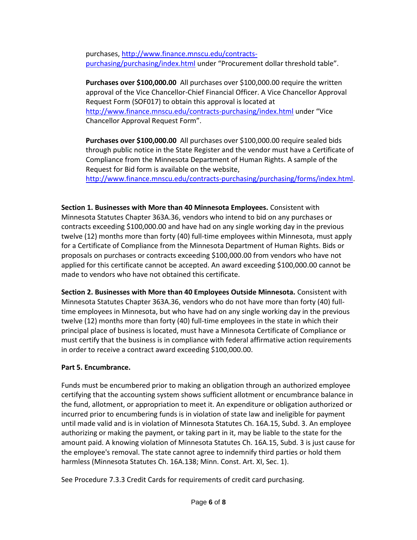purchases, [http://www.finance.mnscu.edu/contracts](http://www.finance.mnscu.edu/contracts-purchasing/purchasing/index.html)[purchasing/purchasing/index.html](http://www.finance.mnscu.edu/contracts-purchasing/purchasing/index.html) under "Procurement dollar threshold table".

**Purchases over \$100,000.00** All purchases over \$100,000.00 require the written approval of the Vice Chancellor-Chief Financial Officer. A Vice Chancellor Approval Request Form (SOF017) to obtain this approval is located at <http://www.finance.mnscu.edu/contracts-purchasing/index.html> under "Vice Chancellor Approval Request Form".

**Purchases over \$100,000.00** All purchases over \$100,000.00 require sealed bids through public notice in the State Register and the vendor must have a Certificate of Compliance from the Minnesota Department of Human Rights. A sample of the Request for Bid form is available on the website,

[http://www.finance.mnscu.edu/contracts-purchasing/purchasing/forms/index.html.](http://www.finance.mnscu.edu/contracts-purchasing/purchasing/forms/index.html)

**Section 1. Businesses with More than 40 Minnesota Employees.** Consistent with Minnesota Statutes Chapter 363A.36, vendors who intend to bid on any purchases or contracts exceeding \$100,000.00 and have had on any single working day in the previous twelve (12) months more than forty (40) full-time employees within Minnesota, must apply for a Certificate of Compliance from the Minnesota Department of Human Rights. Bids or proposals on purchases or contracts exceeding \$100,000.00 from vendors who have not applied for this certificate cannot be accepted. An award exceeding \$100,000.00 cannot be made to vendors who have not obtained this certificate.

**Section 2. Businesses with More than 40 Employees Outside Minnesota.** Consistent with Minnesota Statutes Chapter 363A.36, vendors who do not have more than forty (40) fulltime employees in Minnesota, but who have had on any single working day in the previous twelve (12) months more than forty (40) full-time employees in the state in which their principal place of business is located, must have a Minnesota Certificate of Compliance or must certify that the business is in compliance with federal affirmative action requirements in order to receive a contract award exceeding \$100,000.00.

## **Part 5. Encumbrance.**

Funds must be encumbered prior to making an obligation through an authorized employee certifying that the accounting system shows sufficient allotment or encumbrance balance in the fund, allotment, or appropriation to meet it. An expenditure or obligation authorized or incurred prior to encumbering funds is in violation of state law and ineligible for payment until made valid and is in violation of Minnesota Statutes Ch. 16A.15, Subd. 3. An employee authorizing or making the payment, or taking part in it, may be liable to the state for the amount paid. A knowing violation of Minnesota Statutes Ch. 16A.15, Subd. 3 is just cause for the employee's removal. The state cannot agree to indemnify third parties or hold them harmless (Minnesota Statutes Ch. 16A.138; Minn. Const. Art. XI, Sec. 1).

See Procedure 7.3.3 Credit Cards for requirements of credit card purchasing.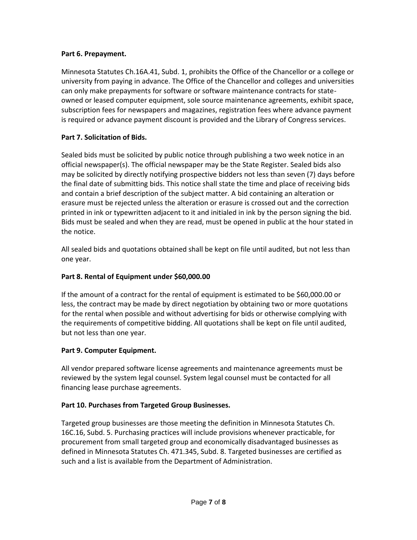#### **Part 6. Prepayment.**

Minnesota Statutes Ch.16A.41, Subd. 1, prohibits the Office of the Chancellor or a college or university from paying in advance. The Office of the Chancellor and colleges and universities can only make prepayments for software or software maintenance contracts for stateowned or leased computer equipment, sole source maintenance agreements, exhibit space, subscription fees for newspapers and magazines, registration fees where advance payment is required or advance payment discount is provided and the Library of Congress services.

## **Part 7. Solicitation of Bids.**

Sealed bids must be solicited by public notice through publishing a two week notice in an official newspaper(s). The official newspaper may be the State Register. Sealed bids also may be solicited by directly notifying prospective bidders not less than seven (7) days before the final date of submitting bids. This notice shall state the time and place of receiving bids and contain a brief description of the subject matter. A bid containing an alteration or erasure must be rejected unless the alteration or erasure is crossed out and the correction printed in ink or typewritten adjacent to it and initialed in ink by the person signing the bid. Bids must be sealed and when they are read, must be opened in public at the hour stated in the notice.

All sealed bids and quotations obtained shall be kept on file until audited, but not less than one year.

## **Part 8. Rental of Equipment under \$60,000.00**

If the amount of a contract for the rental of equipment is estimated to be \$60,000.00 or less, the contract may be made by direct negotiation by obtaining two or more quotations for the rental when possible and without advertising for bids or otherwise complying with the requirements of competitive bidding. All quotations shall be kept on file until audited, but not less than one year.

## **Part 9. Computer Equipment.**

All vendor prepared software license agreements and maintenance agreements must be reviewed by the system legal counsel. System legal counsel must be contacted for all financing lease purchase agreements.

## **Part 10. Purchases from Targeted Group Businesses.**

Targeted group businesses are those meeting the definition in Minnesota Statutes Ch. 16C.16, Subd. 5. Purchasing practices will include provisions whenever practicable, for procurement from small targeted group and economically disadvantaged businesses as defined in Minnesota Statutes Ch. 471.345, Subd. 8. Targeted businesses are certified as such and a list is available from the Department of Administration.